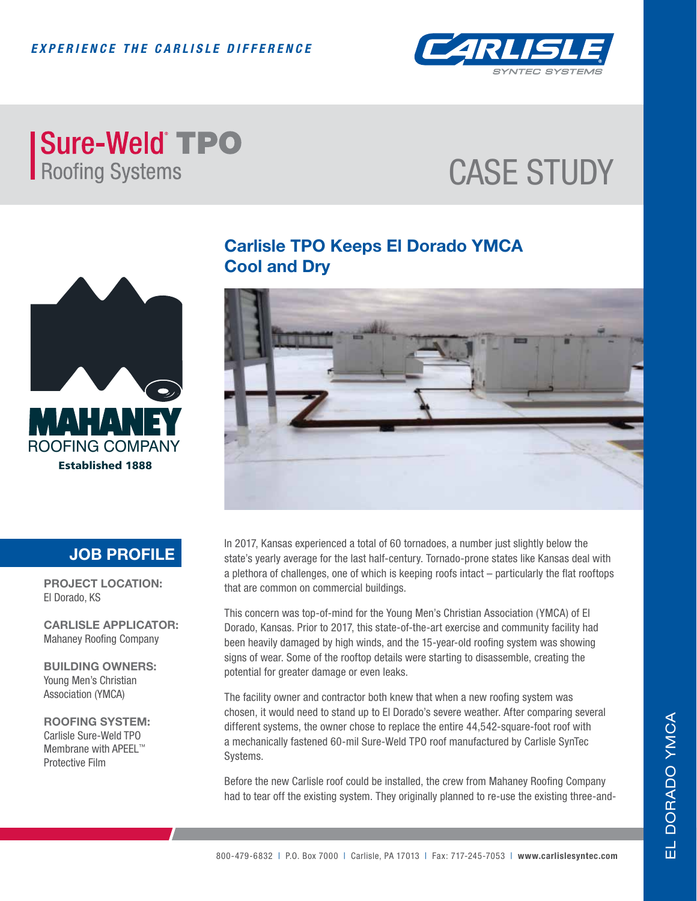

### **Sure-Weld TPO** Roofing Systems

# CASE STUDY



### **Carlisle TPO Keeps El Dorado YMCA Cool and Dry**



#### **JOB PROFILE**

**PROJECT LOCATION:** El Dorado, KS

**CARLISLE APPLICATOR:** Mahaney Roofing Company

**BUILDING OWNERS:** Young Men's Christian Association (YMCA)

**ROOFING SYSTEM:** Carlisle Sure-Weld TPO Membrane with APEEL™ Protective Film

In 2017, Kansas experienced a total of 60 tornadoes, a number just slightly below the state's yearly average for the last half-century. Tornado-prone states like Kansas deal with a plethora of challenges, one of which is keeping roofs intact – particularly the flat rooftops that are common on commercial buildings.

This concern was top-of-mind for the Young Men's Christian Association (YMCA) of El Dorado, Kansas. Prior to 2017, this state-of-the-art exercise and community facility had been heavily damaged by high winds, and the 15-year-old roofing system was showing signs of wear. Some of the rooftop details were starting to disassemble, creating the potential for greater damage or even leaks.

The facility owner and contractor both knew that when a new roofing system was chosen, it would need to stand up to El Dorado's severe weather. After comparing several different systems, the owner chose to replace the entire 44,542-square-foot roof with a mechanically fastened 60-mil Sure-Weld TPO roof manufactured by Carlisle SynTec Systems.

Before the new Carlisle roof could be installed, the crew from Mahaney Roofing Company had to tear off the existing system. They originally planned to re-use the existing three-and-